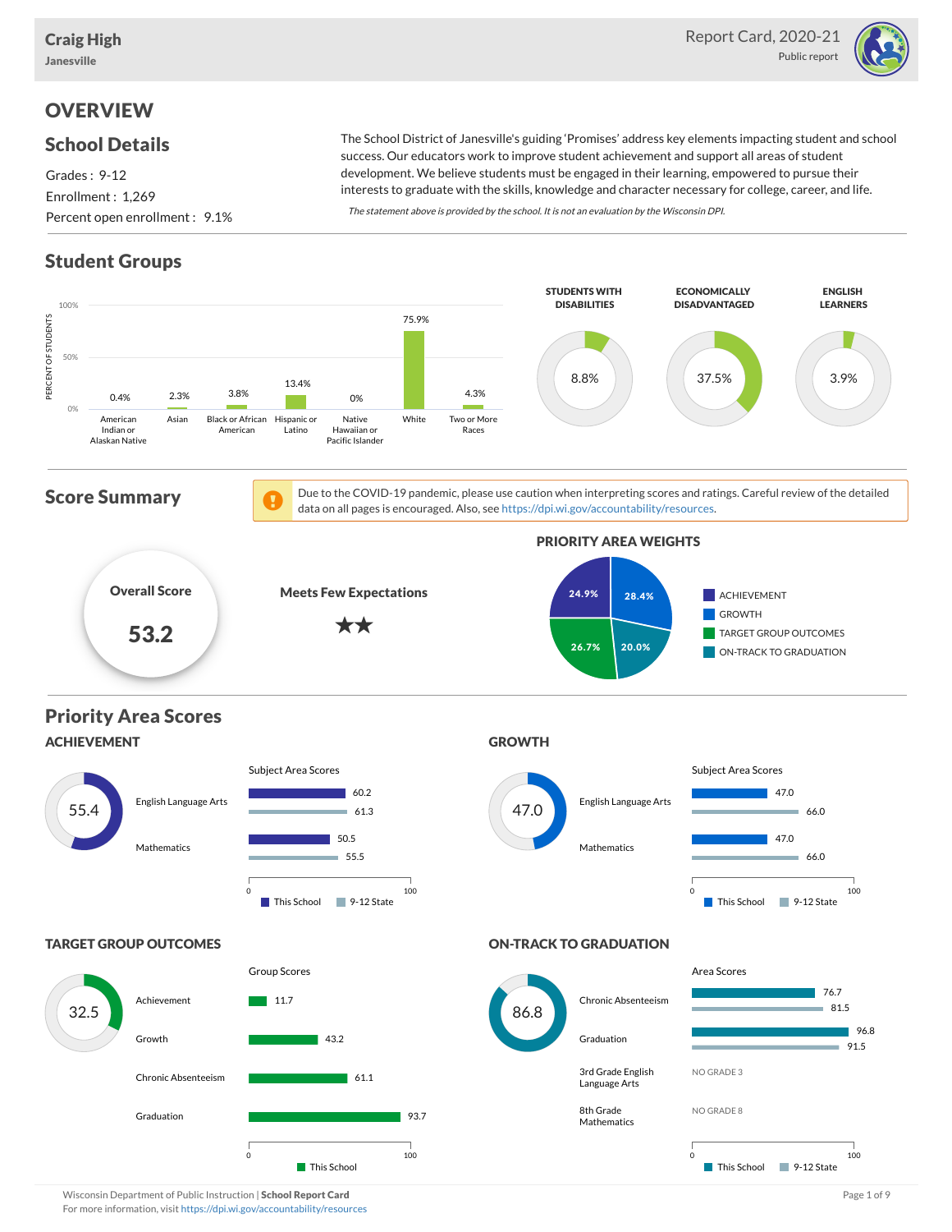

## **OVERVIEW**

### School Details

Grades : 9-12 Enrollment : 1,269 Percent open enrollment : 9.1%

The School District of Janesville's guiding 'Promises' address key elements impacting student and school success. Our educators work to improve student achievement and support all areas of student development. We believe students must be engaged in their learning, empowered to pursue their interests to graduate with the skills, knowledge and character necessary for college, career, and life.

The statement above is provided by the school. It is not an evaluation by the Wisconsin DPI.

## Student Groups

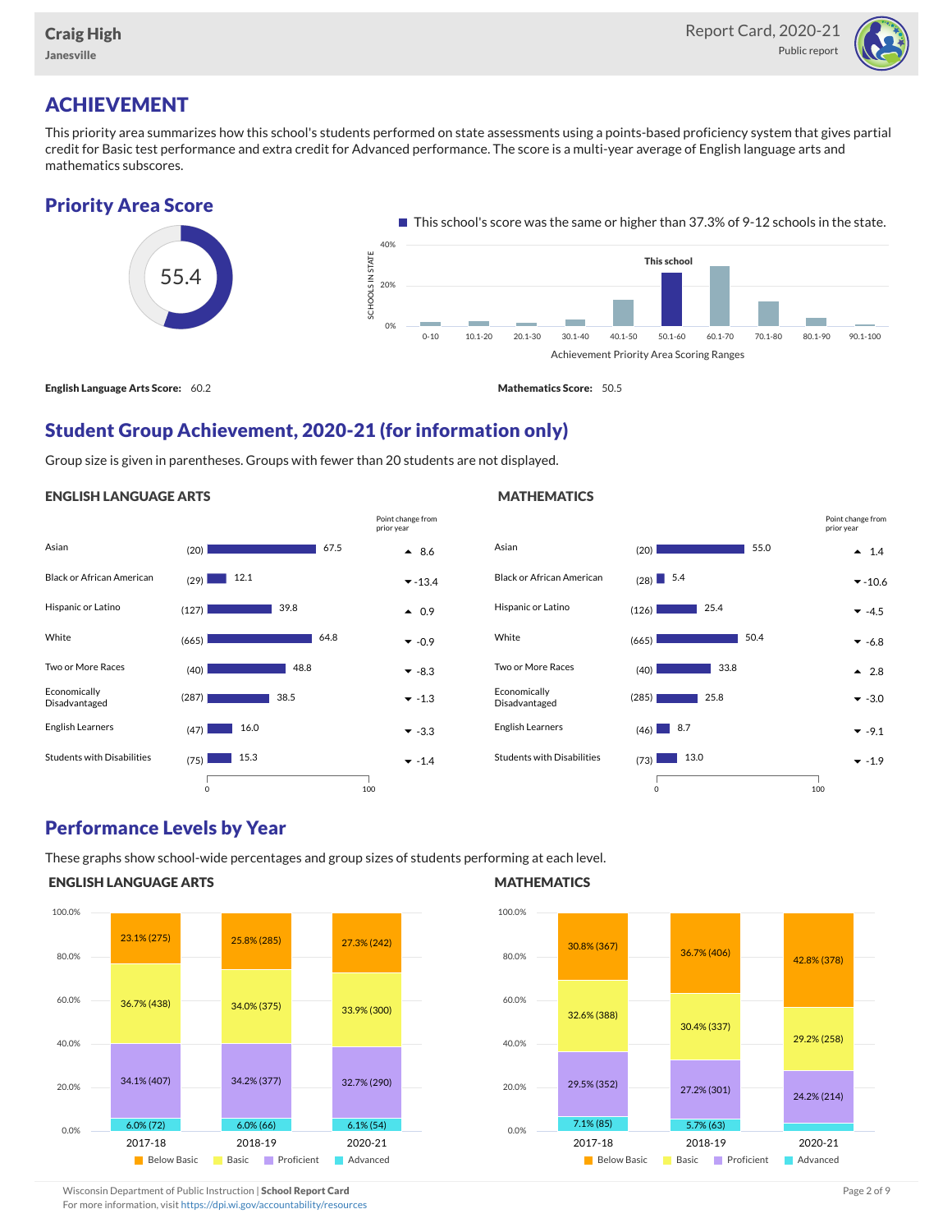

## ACHIEVEMENT

This priority area summarizes how this school's students performed on state assessments using a points-based proficiency system that gives partial credit for Basic test performance and extra credit for Advanced performance. The score is a multi-year average of English language arts and mathematics subscores.





English Language Arts Score: 60.2 Mathematics Score: 50.5

**MATHEMATICS** 

### Student Group Achievement, 2020-21 (for information only)

Group size is given in parentheses. Groups with fewer than 20 students are not displayed.

#### ENGLISH LANGUAGE ARTS

|                                   |              |      | Point change from<br>prior year |
|-----------------------------------|--------------|------|---------------------------------|
| Asian                             | (20)         | 67.5 | $\bullet$ 8.6                   |
| <b>Black or African American</b>  | 12.1<br>(29) |      | $-13.4$                         |
| Hispanic or Latino                | (127)        | 39.8 | $\triangle$ 0.9                 |
| White                             | (665)        | 64.8 | $-0.9$                          |
| Two or More Races                 | (40)         | 48.8 | $-8.3$                          |
| Economically<br>Disadvantaged     | (287)        | 38.5 | $-1.3$                          |
| <b>English Learners</b>           | 16.0<br>(47) |      | $-3.3$                          |
| <b>Students with Disabilities</b> | 15.3<br>(75) |      | $-1.4$                          |
|                                   |              |      |                                 |

#### Asian (20) 1.4 Black or African American (28)  $\blacksquare$  5.4  $\textsf{Hispanic or Latino} \quad \textcolor{red}{\mathsf{atino}} \quad \textcolor{red}{\mathsf{ato}} \quad \textcolor{red}{\mathsf{[126]}} \quad \textcolor{red}{\mathsf{[126]}} \quad \textcolor{red}{\mathsf{[25.4]}} \quad \textcolor{red}{\mathsf{[126]}} \quad \textcolor{red}{\mathsf{[126]}} \quad \textcolor{red}{\mathsf{[126]}} \quad \textcolor{red}{\mathsf{[126]}} \quad \textcolor{red}{\mathsf{[126]}} \quad \textcolor{red}{\mathsf{[126]}} \quad \textcolor{red}{\mathsf{[126]$ White  $(665)$   $50.4$   $\bullet$  -6.8 Two or More Races  $(40)$  **2.8**  $(33.8)$  2.8 Economically Disadvantaged  $(285)$  25.8  $\bullet$  -3.0 English Learners  $(46)$  8.7  $\bullet$  -9.1 Students with Disabilities  $(73)$   $13.0$   $\bullet$  -1.9 55.0  $(28)$  5.4 50.4 33.8 0 100 Point change from prior year

### Performance Levels by Year

These graphs show school-wide percentages and group sizes of students performing at each level.

0 100

#### ENGLISH LANGUAGE ARTS



#### **MATHEMATICS**



Wisconsin Department of Public Instruction | School Report Card Page 2 of 9 and 2 of 9 and 2 of 9 and 2 of 9 and 2 of 9 and 2 of 9 and 2 of 9 and 2 of 9 and 2 of 9 and 2 of 9 and 2 of 9 and 2 of 9 and 2 of 9 and 2 of 9 and

For more information, visit <https://dpi.wi.gov/accountability/resources>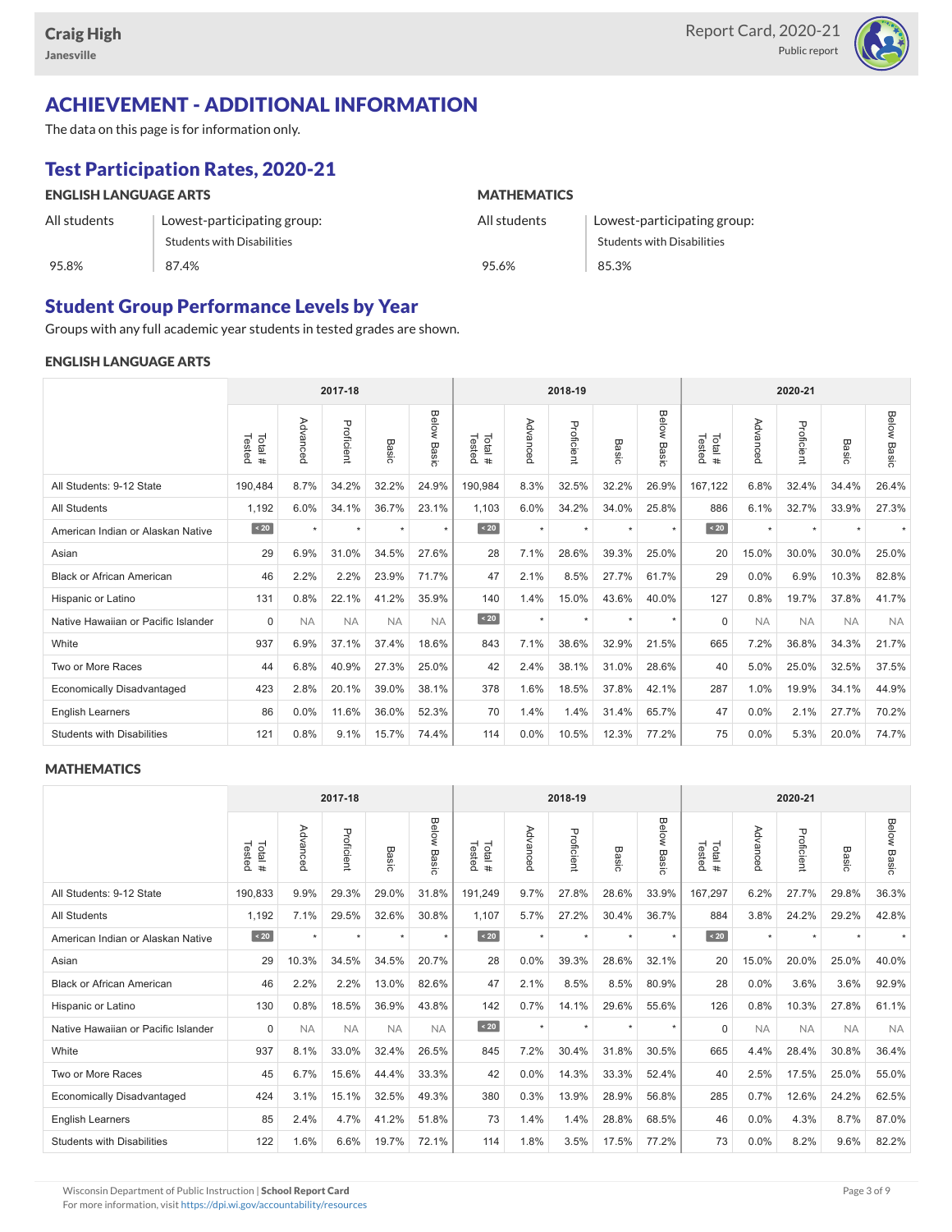

## ACHIEVEMENT - ADDITIONAL INFORMATION

The data on this page is for information only.

## Test Participation Rates, 2020-21

| <b>ENGLISH LANGUAGE ARTS</b> |                             | <b>MATHEMATICS</b> |                             |  |  |  |  |  |
|------------------------------|-----------------------------|--------------------|-----------------------------|--|--|--|--|--|
| All students                 | Lowest-participating group: | All students       | Lowest-participating group: |  |  |  |  |  |
|                              | Students with Disabilities  |                    | Students with Disabilities  |  |  |  |  |  |
| 95.8%                        | 87.4%                       | 95.6%              | 85.3%                       |  |  |  |  |  |

### Student Group Performance Levels by Year

Groups with any full academic year students in tested grades are shown.

#### ENGLISH LANGUAGE ARTS

|                                     |                  | 2017-18   |            |           |                |                  |          | 2018-19    |         |                |                  | 2020-21   |            |           |                |  |
|-------------------------------------|------------------|-----------|------------|-----------|----------------|------------------|----------|------------|---------|----------------|------------------|-----------|------------|-----------|----------------|--|
|                                     | Tested<br>Total# | Advanced  | Proficient | Basic     | Below<br>Basic | Tested<br>Total# | Advancec | Proficient | Basic   | Below<br>Basic | Tested<br>Total# | Advanced  | Proficient | Basic     | Below<br>Basic |  |
| All Students: 9-12 State            | 190,484          | 8.7%      | 34.2%      | 32.2%     | 24.9%          | 190,984          | 8.3%     | 32.5%      | 32.2%   | 26.9%          | 167,122          | 6.8%      | 32.4%      | 34.4%     | 26.4%          |  |
| <b>All Students</b>                 | 1,192            | 6.0%      | 34.1%      | 36.7%     | 23.1%          | 1,103            | 6.0%     | 34.2%      | 34.0%   | 25.8%          | 886              | 6.1%      | 32.7%      | 33.9%     | 27.3%          |  |
| American Indian or Alaskan Native   | $\angle 20$      | $\star$   | $\star$    | ٠         | $\star$        | $\sim 20$        | $\star$  | $\star$    | $\star$ | $\star$        | $\sim 20$        | $\star$   | $\star$    |           |                |  |
| Asian                               | 29               | 6.9%      | 31.0%      | 34.5%     | 27.6%          | 28               | 7.1%     | 28.6%      | 39.3%   | 25.0%          | 20               | 15.0%     | 30.0%      | 30.0%     | 25.0%          |  |
| <b>Black or African American</b>    | 46               | 2.2%      | 2.2%       | 23.9%     | 71.7%          | 47               | 2.1%     | 8.5%       | 27.7%   | 61.7%          | 29               | 0.0%      | 6.9%       | 10.3%     | 82.8%          |  |
| Hispanic or Latino                  | 131              | 0.8%      | 22.1%      | 41.2%     | 35.9%          | 140              | 1.4%     | 15.0%      | 43.6%   | 40.0%          | 127              | 0.8%      | 19.7%      | 37.8%     | 41.7%          |  |
| Native Hawaiian or Pacific Islander | $\Omega$         | <b>NA</b> | <b>NA</b>  | <b>NA</b> | <b>NA</b>      | $\angle 20$      | $\star$  | $\star$    | $\star$ | $\star$        | $\Omega$         | <b>NA</b> | <b>NA</b>  | <b>NA</b> | <b>NA</b>      |  |
| White                               | 937              | 6.9%      | 37.1%      | 37.4%     | 18.6%          | 843              | 7.1%     | 38.6%      | 32.9%   | 21.5%          | 665              | 7.2%      | 36.8%      | 34.3%     | 21.7%          |  |
| Two or More Races                   | 44               | 6.8%      | 40.9%      | 27.3%     | 25.0%          | 42               | 2.4%     | 38.1%      | 31.0%   | 28.6%          | 40               | 5.0%      | 25.0%      | 32.5%     | 37.5%          |  |
| <b>Economically Disadvantaged</b>   | 423              | 2.8%      | 20.1%      | 39.0%     | 38.1%          | 378              | 1.6%     | 18.5%      | 37.8%   | 42.1%          | 287              | 1.0%      | 19.9%      | 34.1%     | 44.9%          |  |
| <b>English Learners</b>             | 86               | $0.0\%$   | 11.6%      | 36.0%     | 52.3%          | 70               | 1.4%     | 1.4%       | 31.4%   | 65.7%          | 47               | $0.0\%$   | 2.1%       | 27.7%     | 70.2%          |  |
| <b>Students with Disabilities</b>   | 121              | 0.8%      | 9.1%       | 15.7%     | 74.4%          | 114              | 0.0%     | 10.5%      | 12.3%   | 77.2%          | 75               | 0.0%      | 5.3%       | 20.0%     | 74.7%          |  |

#### **MATHEMATICS**

|                                     |                   | 2017-18   |            |           |                       |                   |          | 2018-19    |         |                       |                      |           | 2020-21    |                          |                    |  |  |
|-------------------------------------|-------------------|-----------|------------|-----------|-----------------------|-------------------|----------|------------|---------|-----------------------|----------------------|-----------|------------|--------------------------|--------------------|--|--|
|                                     | Tested<br>Total # | Advanced  | Proficient | Basic     | Below<br><b>Basic</b> | Tested<br>Total # | Advanced | Proficient | Basic   | <b>Below</b><br>Basic | Tested<br>Total<br># | Advanced  | Proficient | Basic                    | <b>Below Basic</b> |  |  |
| All Students: 9-12 State            | 190,833           | 9.9%      | 29.3%      | 29.0%     | 31.8%                 | 191,249           | 9.7%     | 27.8%      | 28.6%   | 33.9%                 | 167,297              | 6.2%      | 27.7%      | 29.8%                    | 36.3%              |  |  |
| <b>All Students</b>                 | 1,192             | 7.1%      | 29.5%      | 32.6%     | 30.8%                 | 1,107             | 5.7%     | 27.2%      | 30.4%   | 36.7%                 | 884                  | 3.8%      | 24.2%      | 29.2%                    | 42.8%              |  |  |
| American Indian or Alaskan Native   | $\angle 20$       | $\star$   | $\star$    | $\star$   | $\star$               | $\angle 20$       | $\star$  | $\star$    | $\star$ | $\star$               | $\sim 20$            | $\star$   | $\star$    | $\overline{\phantom{a}}$ |                    |  |  |
| Asian                               | 29                | 10.3%     | 34.5%      | 34.5%     | 20.7%                 | 28                | 0.0%     | 39.3%      | 28.6%   | 32.1%                 | 20                   | 15.0%     | 20.0%      | 25.0%                    | 40.0%              |  |  |
| <b>Black or African American</b>    | 46                | 2.2%      | 2.2%       | 13.0%     | 82.6%                 | 47                | 2.1%     | 8.5%       | 8.5%    | 80.9%                 | 28                   | 0.0%      | 3.6%       | 3.6%                     | 92.9%              |  |  |
| Hispanic or Latino                  | 130               | 0.8%      | 18.5%      | 36.9%     | 43.8%                 | 142               | 0.7%     | 14.1%      | 29.6%   | 55.6%                 | 126                  | 0.8%      | 10.3%      | 27.8%                    | 61.1%              |  |  |
| Native Hawaiian or Pacific Islander | $\Omega$          | <b>NA</b> | <b>NA</b>  | <b>NA</b> | <b>NA</b>             | $\leq 20$         | $\star$  | $\star$    | $\star$ | $\star$               | $\Omega$             | <b>NA</b> | <b>NA</b>  | <b>NA</b>                | <b>NA</b>          |  |  |
| White                               | 937               | 8.1%      | 33.0%      | 32.4%     | 26.5%                 | 845               | 7.2%     | 30.4%      | 31.8%   | 30.5%                 | 665                  | 4.4%      | 28.4%      | 30.8%                    | 36.4%              |  |  |
| Two or More Races                   | 45                | 6.7%      | 15.6%      | 44.4%     | 33.3%                 | 42                | 0.0%     | 14.3%      | 33.3%   | 52.4%                 | 40                   | 2.5%      | 17.5%      | 25.0%                    | 55.0%              |  |  |
| <b>Economically Disadvantaged</b>   | 424               | 3.1%      | 15.1%      | 32.5%     | 49.3%                 | 380               | 0.3%     | 13.9%      | 28.9%   | 56.8%                 | 285                  | 0.7%      | 12.6%      | 24.2%                    | 62.5%              |  |  |
| English Learners                    | 85                | 2.4%      | 4.7%       | 41.2%     | 51.8%                 | 73                | 1.4%     | 1.4%       | 28.8%   | 68.5%                 | 46                   | 0.0%      | 4.3%       | 8.7%                     | 87.0%              |  |  |
| <b>Students with Disabilities</b>   | 122               | 1.6%      | 6.6%       | 19.7%     | 72.1%                 | 114               | 1.8%     | 3.5%       | 17.5%   | 77.2%                 | 73                   | 0.0%      | 8.2%       | 9.6%                     | 82.2%              |  |  |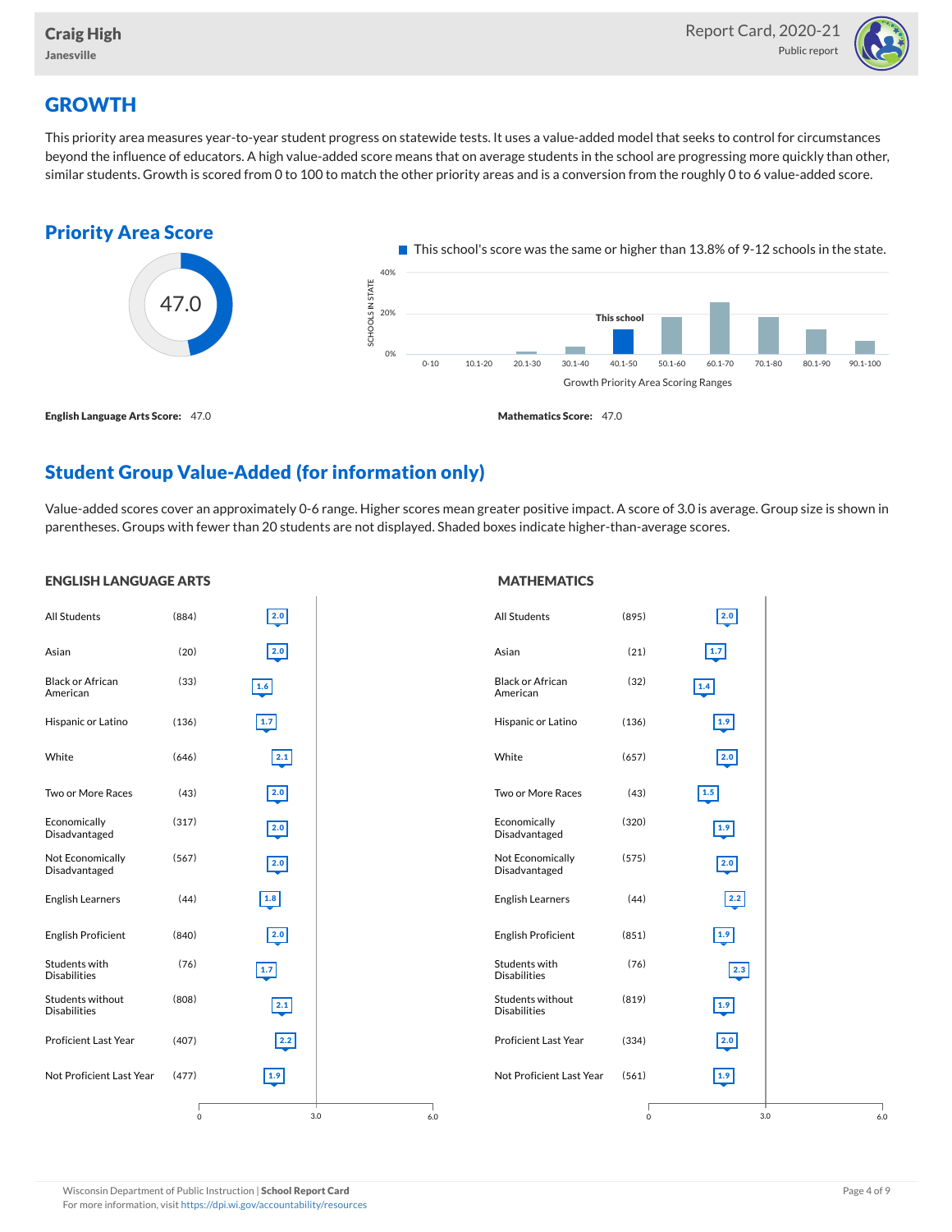

## **GROWTH**

This priority area measures year-to-year student progress on statewide tests. It uses a value-added model that seeks to control for circumstances beyond the influence of educators. A high value-added score means that on average students in the school are progressing more quickly than other, similar students. Growth is scored from 0 to 100 to match the other priority areas and is a conversion from the roughly 0 to 6 value-added score.



## Student Group Value-Added (for information only)

Value-added scores cover an approximately 0-6 range. Higher scores mean greater positive impact. A score of 3.0 is average. Group size is shown in parentheses. Groups with fewer than 20 students are not displayed. Shaded boxes indicate higher-than-average scores.

#### ENGLISH LANGUAGE ARTS

#### **MATHEMATICS**

| All Students                            | (884)       | 2.0             |     | All Students                            | (895)   | 2.0           |
|-----------------------------------------|-------------|-----------------|-----|-----------------------------------------|---------|---------------|
| Asian                                   | (20)        | $\boxed{2.0}$   |     | Asian                                   | (21)    | $1.7$         |
| <b>Black or African</b><br>American     | (33)        | 1.6             |     | <b>Black or African</b><br>American     | (32)    | 1.4           |
| Hispanic or Latino                      | (136)       | $\boxed{1.7}$   |     | Hispanic or Latino                      | (136)   | 1.9           |
| White                                   | (646)       | $2.1$           |     | White                                   | (657)   | $\boxed{2.0}$ |
| Two or More Races                       | (43)        | 2.0             |     | Two or More Races                       | (43)    | $1.5$         |
| Economically<br>Disadvantaged           | (317)       | 2.0             |     | Economically<br>Disadvantaged           | (320)   | 1.9           |
| Not Economically<br>Disadvantaged       | (567)       | 2.0             |     | Not Economically<br>Disadvantaged       | (575)   | 2.0           |
| <b>English Learners</b>                 | (44)        | $\boxed{1.8}$   |     | <b>English Learners</b>                 | (44)    | 2.2           |
| <b>English Proficient</b>               | (840)       | 2.0             |     | <b>English Proficient</b>               | (851)   | $1.9$         |
| Students with<br><b>Disabilities</b>    | (76)        | $1.7$           |     | Students with<br><b>Disabilities</b>    | (76)    | 2.3           |
| Students without<br><b>Disabilities</b> | (808)       | 2.1             |     | Students without<br><b>Disabilities</b> | (819)   | 1.9           |
| Proficient Last Year                    | (407)       | $2.2$           |     | <b>Proficient Last Year</b>             | (334)   | 2.0           |
| Not Proficient Last Year                | (477)       | $\frac{1.9}{2}$ |     | Not Proficient Last Year                | (561)   | 1.9           |
|                                         | $\mathbf 0$ | 3.0             | 6.0 |                                         | $\circ$ | 3.0           |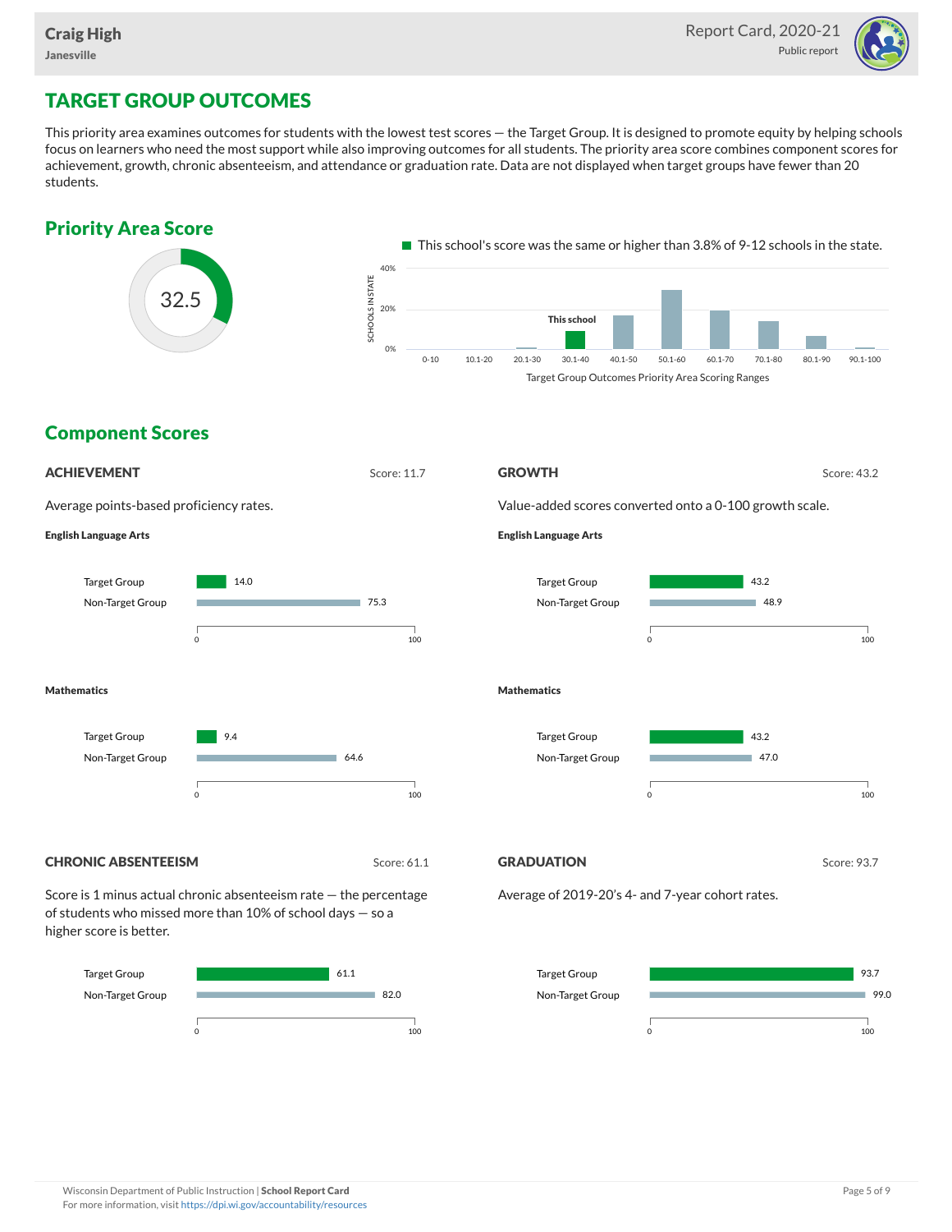

## TARGET GROUP OUTCOMES

This priority area examines outcomes for students with the lowest test scores — the Target Group. It is designed to promote equity by helping schools focus on learners who need the most support while also improving outcomes for all students. The priority area score combines component scores for achievement, growth, chronic absenteeism, and attendance or graduation rate. Data are not displayed when target groups have fewer than 20 students.



0 100

0 100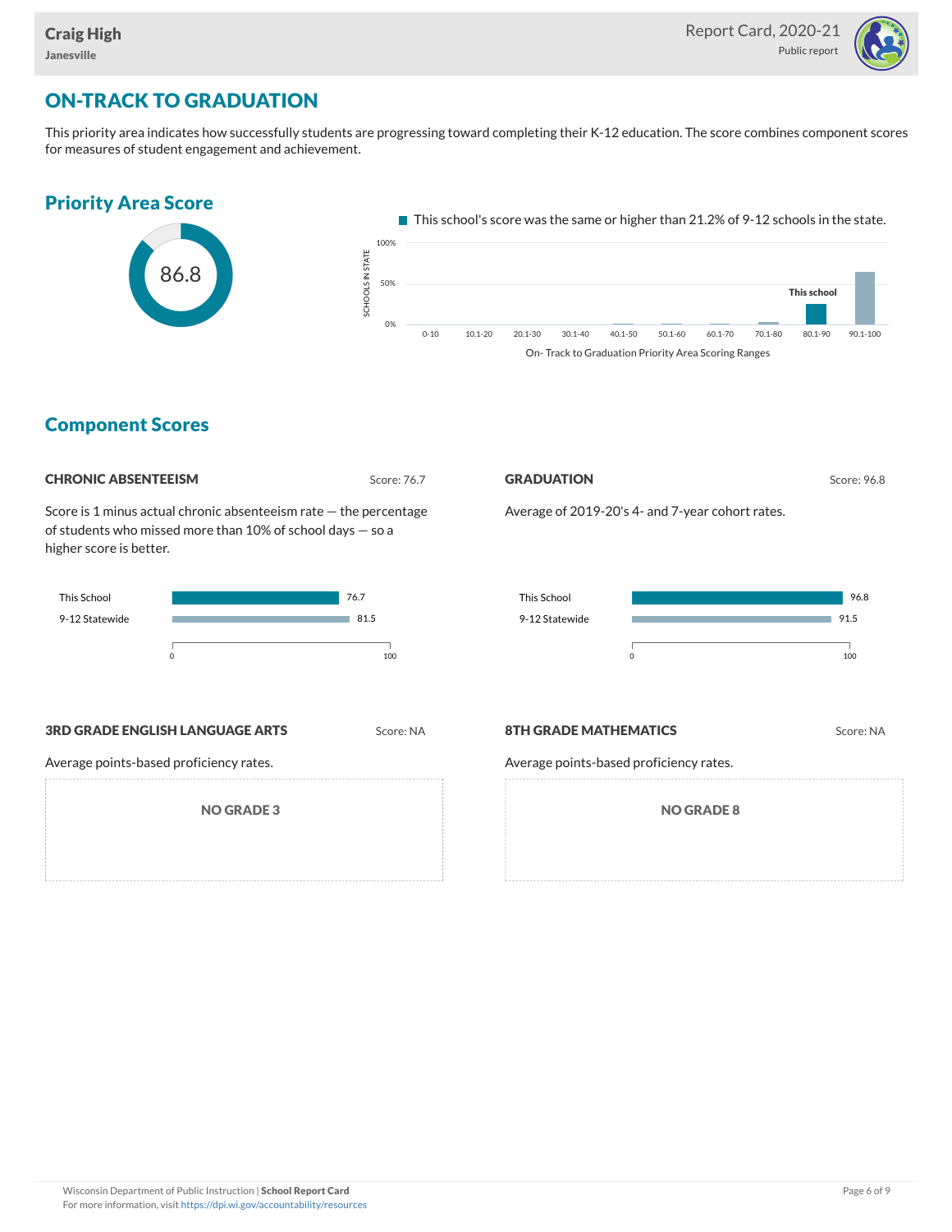

## ON-TRACK TO GRADUATION

This priority area indicates how successfully students are progressing toward completing their K-12 education. The score combines component scores for measures of student engagement and achievement.



### Component Scores

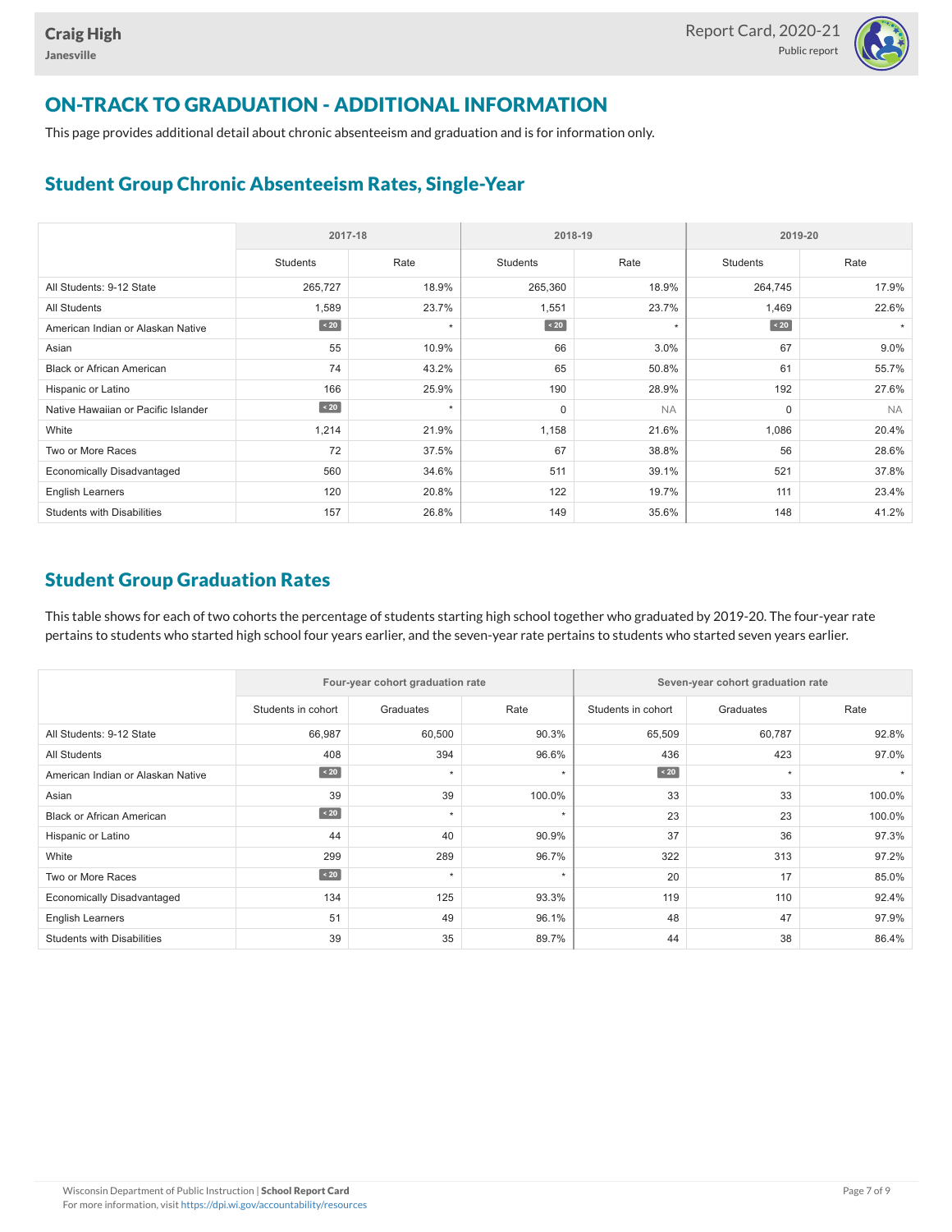

## ON-TRACK TO GRADUATION - ADDITIONAL INFORMATION

This page provides additional detail about chronic absenteeism and graduation and is for information only.

### Student Group Chronic Absenteeism Rates, Single-Year

|                                     | 2017-18         |         | 2018-19     |           | 2019-20         |           |  |  |
|-------------------------------------|-----------------|---------|-------------|-----------|-----------------|-----------|--|--|
|                                     | <b>Students</b> | Rate    | Students    | Rate      | <b>Students</b> | Rate      |  |  |
| All Students: 9-12 State            | 265,727         | 18.9%   | 265,360     | 18.9%     | 264,745         | 17.9%     |  |  |
| <b>All Students</b>                 | 1,589           | 23.7%   | 1,551       | 23.7%     | 1,469           | 22.6%     |  |  |
| American Indian or Alaskan Native   | $\sim 20$       | $\star$ | $\sim 20$   | $\star$   | $\sim 20$       |           |  |  |
| Asian                               | 55              | 10.9%   | 66          | 3.0%      | 67              | 9.0%      |  |  |
| <b>Black or African American</b>    | 74              | 43.2%   | 65          | 50.8%     | 61              | 55.7%     |  |  |
| Hispanic or Latino                  | 166             | 25.9%   | 190         | 28.9%     | 192             | 27.6%     |  |  |
| Native Hawaiian or Pacific Islander | $\sim 20$       | $\star$ | $\mathbf 0$ | <b>NA</b> | $\mathbf 0$     | <b>NA</b> |  |  |
| White                               | 1,214           | 21.9%   | 1,158       | 21.6%     | 1,086           | 20.4%     |  |  |
| Two or More Races                   | 72              | 37.5%   | 67          | 38.8%     | 56              | 28.6%     |  |  |
| <b>Economically Disadvantaged</b>   | 560             | 34.6%   | 511         | 39.1%     | 521             | 37.8%     |  |  |
| <b>English Learners</b>             | 120             | 20.8%   | 122         | 19.7%     | 111             | 23.4%     |  |  |
| <b>Students with Disabilities</b>   | 157             | 26.8%   | 149         | 35.6%     | 148             | 41.2%     |  |  |

### Student Group Graduation Rates

This table shows for each of two cohorts the percentage of students starting high school together who graduated by 2019-20. The four-year rate pertains to students who started high school four years earlier, and the seven-year rate pertains to students who started seven years earlier.

|                                   |                    | Four-year cohort graduation rate |         | Seven-year cohort graduation rate |           |        |  |  |  |
|-----------------------------------|--------------------|----------------------------------|---------|-----------------------------------|-----------|--------|--|--|--|
|                                   | Students in cohort | Graduates                        | Rate    | Students in cohort                | Graduates | Rate   |  |  |  |
| All Students: 9-12 State          | 66,987             | 60,500                           | 90.3%   | 65,509                            | 60,787    | 92.8%  |  |  |  |
| <b>All Students</b>               | 408                | 394                              | 96.6%   | 436                               | 423       | 97.0%  |  |  |  |
| American Indian or Alaskan Native | $\angle 20$        | $\star$                          | $\star$ | $\angle 20$                       | $\star$   |        |  |  |  |
| Asian                             | 39                 | 39                               | 100.0%  | 33                                | 33        | 100.0% |  |  |  |
| <b>Black or African American</b>  | $\angle 20$        | $\star$                          | $\star$ | 23                                | 23        | 100.0% |  |  |  |
| Hispanic or Latino                | 44                 | 40                               | 90.9%   | 37                                | 36        | 97.3%  |  |  |  |
| White                             | 299                | 289                              | 96.7%   | 322                               | 313       | 97.2%  |  |  |  |
| Two or More Races                 | $\angle 20$        | $\star$                          | $\star$ | 20                                | 17        | 85.0%  |  |  |  |
| <b>Economically Disadvantaged</b> | 134                | 125                              | 93.3%   | 119                               | 110       | 92.4%  |  |  |  |
| English Learners                  | 51                 | 49                               | 96.1%   | 48                                | 47        | 97.9%  |  |  |  |
| <b>Students with Disabilities</b> | 39                 | 35                               | 89.7%   | 44                                | 38        | 86.4%  |  |  |  |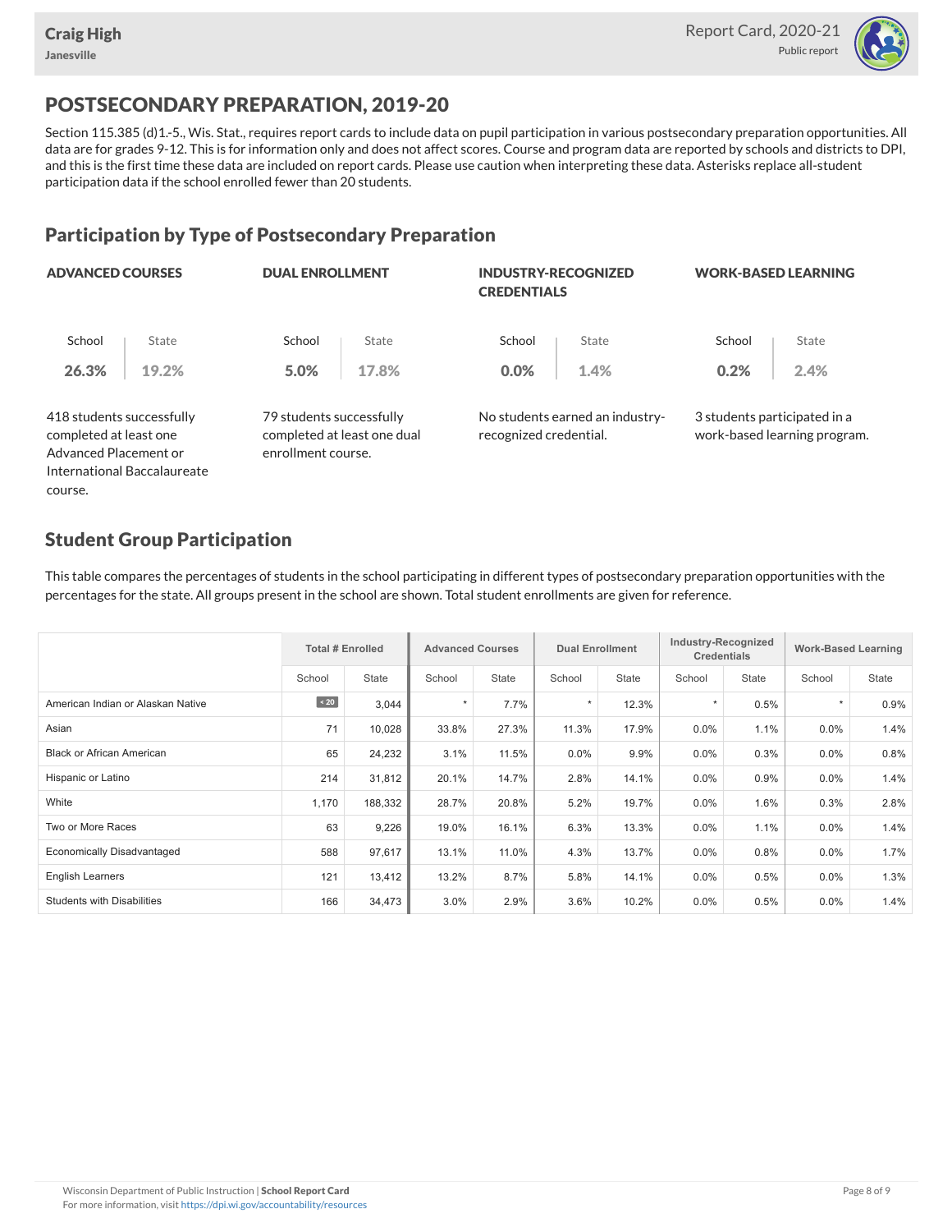course.



## POSTSECONDARY PREPARATION, 2019-20

Section 115.385 (d)1.-5., Wis. Stat., requires report cards to include data on pupil participation in various postsecondary preparation opportunities. All data are for grades 9-12. This is for information only and does not affect scores. Course and program data are reported by schools and districts to DPI, and this is the first time these data are included on report cards. Please use caution when interpreting these data. Asterisks replace all-student participation data if the school enrolled fewer than 20 students.

### Participation by Type of Postsecondary Preparation

| <b>ADVANCED COURSES</b>                                                      |                             | <b>DUAL ENROLLMENT</b>                                                        |       | <b>INDUSTRY-RECOGNIZED</b><br><b>CREDENTIALS</b> |                                 |                              | <b>WORK-BASED LEARNING</b>   |
|------------------------------------------------------------------------------|-----------------------------|-------------------------------------------------------------------------------|-------|--------------------------------------------------|---------------------------------|------------------------------|------------------------------|
| School                                                                       | State                       | School                                                                        | State | School                                           | State                           | School                       | State                        |
| 26.3%                                                                        | 19.2%                       | 5.0%                                                                          | 17.8% | 0.0%                                             | 1.4%                            | 0.2%                         | 2.4%                         |
| 418 students successfully<br>completed at least one<br>Advanced Placement or |                             | 79 students successfully<br>completed at least one dual<br>enrollment course. |       | recognized credential.                           | No students earned an industry- | 3 students participated in a | work-based learning program. |
|                                                                              | International Baccalaureate |                                                                               |       |                                                  |                                 |                              |                              |

### Student Group Participation

This table compares the percentages of students in the school participating in different types of postsecondary preparation opportunities with the percentages for the state. All groups present in the school are shown. Total student enrollments are given for reference.

|                                   |           | <b>Total # Enrolled</b> |         | <b>Advanced Courses</b> |         | <b>Dual Enrollment</b> |         | Industry-Recognized<br><b>Credentials</b> | <b>Work-Based Learning</b> |       |
|-----------------------------------|-----------|-------------------------|---------|-------------------------|---------|------------------------|---------|-------------------------------------------|----------------------------|-------|
|                                   | School    | <b>State</b>            | School  | <b>State</b>            | School  | <b>State</b>           | School  | <b>State</b>                              | School                     | State |
| American Indian or Alaskan Native | $\sim 20$ | 3,044                   | $\star$ | 7.7%                    | $\star$ | 12.3%                  |         | 0.5%                                      | $\star$                    | 0.9%  |
| Asian                             | 71        | 10,028                  | 33.8%   | 27.3%                   | 11.3%   | 17.9%                  | 0.0%    | 1.1%                                      | $0.0\%$                    | 1.4%  |
| <b>Black or African American</b>  | 65        | 24,232                  | 3.1%    | 11.5%                   | $0.0\%$ | 9.9%                   | $0.0\%$ | 0.3%                                      | $0.0\%$                    | 0.8%  |
| Hispanic or Latino                | 214       | 31,812                  | 20.1%   | 14.7%                   | 2.8%    | 14.1%                  | $0.0\%$ | 0.9%                                      | $0.0\%$                    | 1.4%  |
| White                             | 1,170     | 188,332                 | 28.7%   | 20.8%                   | 5.2%    | 19.7%                  | 0.0%    | 1.6%                                      | 0.3%                       | 2.8%  |
| Two or More Races                 | 63        | 9,226                   | 19.0%   | 16.1%                   | 6.3%    | 13.3%                  | 0.0%    | 1.1%                                      | $0.0\%$                    | 1.4%  |
| <b>Economically Disadvantaged</b> | 588       | 97,617                  | 13.1%   | 11.0%                   | 4.3%    | 13.7%                  | 0.0%    | 0.8%                                      | $0.0\%$                    | 1.7%  |
| <b>English Learners</b>           | 121       | 13,412                  | 13.2%   | 8.7%                    | 5.8%    | 14.1%                  | $0.0\%$ | 0.5%                                      | $0.0\%$                    | 1.3%  |
| <b>Students with Disabilities</b> | 166       | 34,473                  | 3.0%    | 2.9%                    | 3.6%    | 10.2%                  | 0.0%    | 0.5%                                      | $0.0\%$                    | 1.4%  |